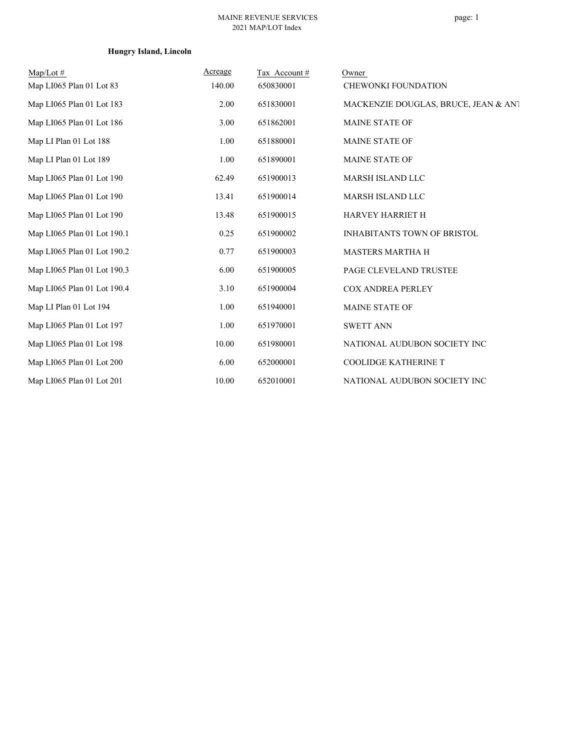## **Hungry Island, Lincoln**

| $Map/Lot \#$                | Acreage | Tax Account# | Owner                                |
|-----------------------------|---------|--------------|--------------------------------------|
| Map LI065 Plan 01 Lot 83    | 140.00  | 650830001    | <b>CHEWONKI FOUNDATION</b>           |
| Map LI065 Plan 01 Lot 183   | 2.00    | 651830001    | MACKENZIE DOUGLAS, BRUCE, JEAN & ANT |
| Map LI065 Plan 01 Lot 186   | 3.00    | 651862001    | <b>MAINE STATE OF</b>                |
| Map LI Plan 01 Lot 188      | 1.00    | 651880001    | <b>MAINE STATE OF</b>                |
| Map LI Plan 01 Lot 189      | 1.00    | 651890001    | <b>MAINE STATE OF</b>                |
| Map LI065 Plan 01 Lot 190   | 62.49   | 651900013    | MARSH ISLAND LLC                     |
| Map LI065 Plan 01 Lot 190   | 13.41   | 651900014    | MARSH ISLAND LLC                     |
| Map LI065 Plan 01 Lot 190   | 13.48   | 651900015    | HARVEY HARRIET H                     |
| Map LI065 Plan 01 Lot 190.1 | 0.25    | 651900002    | <b>INHABITANTS TOWN OF BRISTOL</b>   |
| Map LI065 Plan 01 Lot 190.2 | 0.77    | 651900003    | <b>MASTERS MARTHA H</b>              |
| Map LI065 Plan 01 Lot 190.3 | 6.00    | 651900005    | PAGE CLEVELAND TRUSTEE               |
| Map LI065 Plan 01 Lot 190.4 | 3.10    | 651900004    | <b>COX ANDREA PERLEY</b>             |
| Map LI Plan 01 Lot 194      | 1.00    | 651940001    | <b>MAINE STATE OF</b>                |
| Map LI065 Plan 01 Lot 197   | 1.00    | 651970001    | <b>SWETT ANN</b>                     |
| Map LI065 Plan 01 Lot 198   | 10.00   | 651980001    | NATIONAL AUDUBON SOCIETY INC         |
| Map LI065 Plan 01 Lot 200   | 6.00    | 652000001    | COOLIDGE KATHERINE T                 |
| Map LI065 Plan 01 Lot 201   | 10.00   | 652010001    | NATIONAL AUDUBON SOCIETY INC         |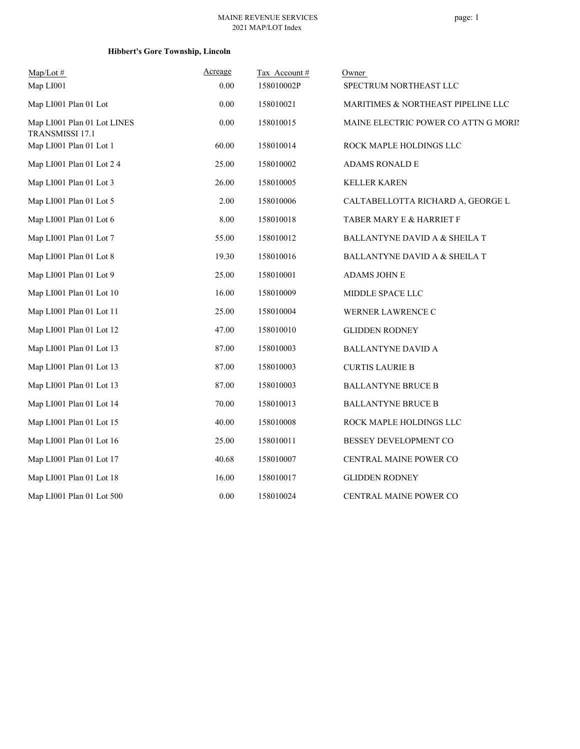## **Hibbert's Gore Township, Lincoln**

| $Map/Lot \#$                                   | Acreage | Tax Account# | Owner                                    |
|------------------------------------------------|---------|--------------|------------------------------------------|
| Map LI001                                      | 0.00    | 158010002P   | SPECTRUM NORTHEAST LLC                   |
| Map LI001 Plan 01 Lot                          | 0.00    | 158010021    | MARITIMES & NORTHEAST PIPELINE LLC       |
| Map LI001 Plan 01 Lot LINES<br>TRANSMISSI 17.1 | 0.00    | 158010015    | MAINE ELECTRIC POWER CO ATTN G MORIN     |
| Map LI001 Plan 01 Lot 1                        | 60.00   | 158010014    | ROCK MAPLE HOLDINGS LLC                  |
| Map LI001 Plan 01 Lot 2 4                      | 25.00   | 158010002    | ADAMS RONALD E                           |
| Map LI001 Plan 01 Lot 3                        | 26.00   | 158010005    | <b>KELLER KAREN</b>                      |
| Map LI001 Plan 01 Lot 5                        | 2.00    | 158010006    | CALTABELLOTTA RICHARD A, GEORGE L        |
| Map LI001 Plan 01 Lot 6                        | 8.00    | 158010018    | TABER MARY E & HARRIET F                 |
| Map LI001 Plan 01 Lot 7                        | 55.00   | 158010012    | <b>BALLANTYNE DAVID A &amp; SHEILA T</b> |
| Map LI001 Plan 01 Lot 8                        | 19.30   | 158010016    | BALLANTYNE DAVID A & SHEILA T            |
| Map LI001 Plan 01 Lot 9                        | 25.00   | 158010001    | <b>ADAMS JOHN E</b>                      |
| Map LI001 Plan 01 Lot 10                       | 16.00   | 158010009    | MIDDLE SPACE LLC                         |
| Map LI001 Plan 01 Lot 11                       | 25.00   | 158010004    | WERNER LAWRENCE C                        |
| Map LI001 Plan 01 Lot 12                       | 47.00   | 158010010    | <b>GLIDDEN RODNEY</b>                    |
| Map LI001 Plan 01 Lot 13                       | 87.00   | 158010003    | <b>BALLANTYNE DAVID A</b>                |
| Map LI001 Plan 01 Lot 13                       | 87.00   | 158010003    | <b>CURTIS LAURIE B</b>                   |
| Map LI001 Plan 01 Lot 13                       | 87.00   | 158010003    | <b>BALLANTYNE BRUCE B</b>                |
| Map LI001 Plan 01 Lot 14                       | 70.00   | 158010013    | <b>BALLANTYNE BRUCE B</b>                |
| Map LI001 Plan 01 Lot 15                       | 40.00   | 158010008    | ROCK MAPLE HOLDINGS LLC                  |
| Map LI001 Plan 01 Lot 16                       | 25.00   | 158010011    | BESSEY DEVELOPMENT CO                    |
| Map LI001 Plan 01 Lot 17                       | 40.68   | 158010007    | CENTRAL MAINE POWER CO                   |
| Map LI001 Plan 01 Lot 18                       | 16.00   | 158010017    | <b>GLIDDEN RODNEY</b>                    |
| Map LI001 Plan 01 Lot 500                      | 0.00    | 158010024    | CENTRAL MAINE POWER CO                   |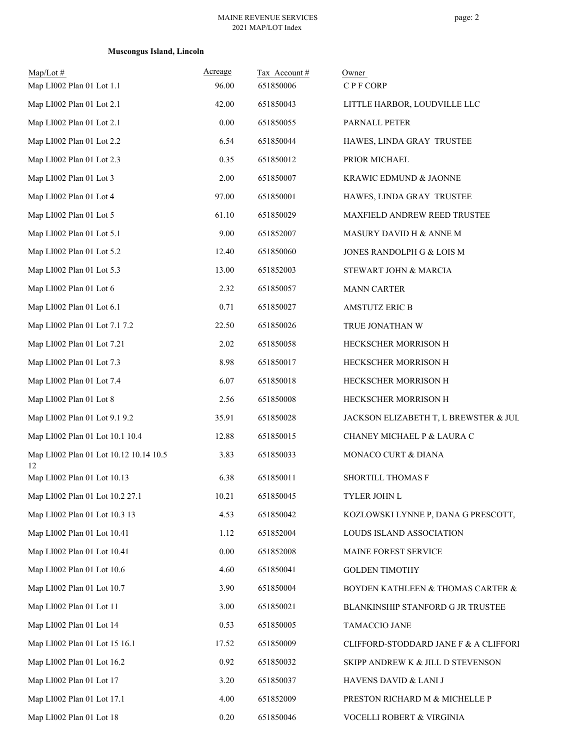## **Muscongus Island, Lincoln**

| $Map/Lot$ #                                  | Acreage | Tax Account# | Owner                                 |
|----------------------------------------------|---------|--------------|---------------------------------------|
| Map LI002 Plan 01 Lot 1.1                    | 96.00   | 651850006    | CPF CORP                              |
| Map LI002 Plan 01 Lot 2.1                    | 42.00   | 651850043    | LITTLE HARBOR, LOUDVILLE LLC          |
| Map LI002 Plan 01 Lot 2.1                    | 0.00    | 651850055    | PARNALL PETER                         |
| Map LI002 Plan 01 Lot 2.2                    | 6.54    | 651850044    | HAWES, LINDA GRAY TRUSTEE             |
| Map LI002 Plan 01 Lot 2.3                    | 0.35    | 651850012    | PRIOR MICHAEL                         |
| Map LI002 Plan 01 Lot 3                      | 2.00    | 651850007    | KRAWIC EDMUND & JAONNE                |
| Map LI002 Plan 01 Lot 4                      | 97.00   | 651850001    | HAWES, LINDA GRAY TRUSTEE             |
| Map LI002 Plan 01 Lot 5                      | 61.10   | 651850029    | MAXFIELD ANDREW REED TRUSTEE          |
| Map LI002 Plan 01 Lot 5.1                    | 9.00    | 651852007    | MASURY DAVID H & ANNE M               |
| Map LI002 Plan 01 Lot 5.2                    | 12.40   | 651850060    | JONES RANDOLPH G & LOIS M             |
| Map LI002 Plan 01 Lot 5.3                    | 13.00   | 651852003    | STEWART JOHN & MARCIA                 |
| Map LI002 Plan 01 Lot 6                      | 2.32    | 651850057    | <b>MANN CARTER</b>                    |
| Map LI002 Plan 01 Lot 6.1                    | 0.71    | 651850027    | <b>AMSTUTZ ERIC B</b>                 |
| Map LI002 Plan 01 Lot 7.1 7.2                | 22.50   | 651850026    | TRUE JONATHAN W                       |
| Map LI002 Plan 01 Lot 7.21                   | 2.02    | 651850058    | HECKSCHER MORRISON H                  |
| Map LI002 Plan 01 Lot 7.3                    | 8.98    | 651850017    | HECKSCHER MORRISON H                  |
| Map LI002 Plan 01 Lot 7.4                    | 6.07    | 651850018    | HECKSCHER MORRISON H                  |
| Map LI002 Plan 01 Lot 8                      | 2.56    | 651850008    | HECKSCHER MORRISON H                  |
| Map LI002 Plan 01 Lot 9.1 9.2                | 35.91   | 651850028    | JACKSON ELIZABETH T, L BREWSTER & JUL |
| Map LI002 Plan 01 Lot 10.1 10.4              | 12.88   | 651850015    | CHANEY MICHAEL P & LAURA C            |
| Map LI002 Plan 01 Lot 10.12 10.14 10.5<br>12 | 3.83    | 651850033    | MONACO CURT & DIANA                   |
| Map LI002 Plan 01 Lot 10.13                  | 6.38    | 651850011    | <b>SHORTILL THOMAS F</b>              |
| Map LI002 Plan 01 Lot 10.2 27.1              | 10.21   | 651850045    | TYLER JOHN L                          |
| Map LI002 Plan 01 Lot 10.3 13                | 4.53    | 651850042    | KOZLOWSKI LYNNE P, DANA G PRESCOTT,   |
| Map LI002 Plan 01 Lot 10.41                  | 1.12    | 651852004    | LOUDS ISLAND ASSOCIATION              |
| Map LI002 Plan 01 Lot 10.41                  | 0.00    | 651852008    | MAINE FOREST SERVICE                  |
| Map LI002 Plan 01 Lot 10.6                   | 4.60    | 651850041    | <b>GOLDEN TIMOTHY</b>                 |
| Map LI002 Plan 01 Lot 10.7                   | 3.90    | 651850004    | BOYDEN KATHLEEN & THOMAS CARTER &     |
| Map LI002 Plan 01 Lot 11                     | 3.00    | 651850021    | BLANKINSHIP STANFORD G JR TRUSTEE     |
| Map LI002 Plan 01 Lot 14                     | 0.53    | 651850005    | TAMACCIO JANE                         |
| Map LI002 Plan 01 Lot 15 16.1                | 17.52   | 651850009    | CLIFFORD-STODDARD JANE F & A CLIFFORI |
| Map LI002 Plan 01 Lot 16.2                   | 0.92    | 651850032    | SKIPP ANDREW K & JILL D STEVENSON     |
| Map LI002 Plan 01 Lot 17                     | 3.20    | 651850037    | HAVENS DAVID & LANI J                 |
| Map LI002 Plan 01 Lot 17.1                   | 4.00    | 651852009    | PRESTON RICHARD M & MICHELLE P        |
| Map LI002 Plan 01 Lot 18                     | 0.20    | 651850046    | VOCELLI ROBERT & VIRGINIA             |